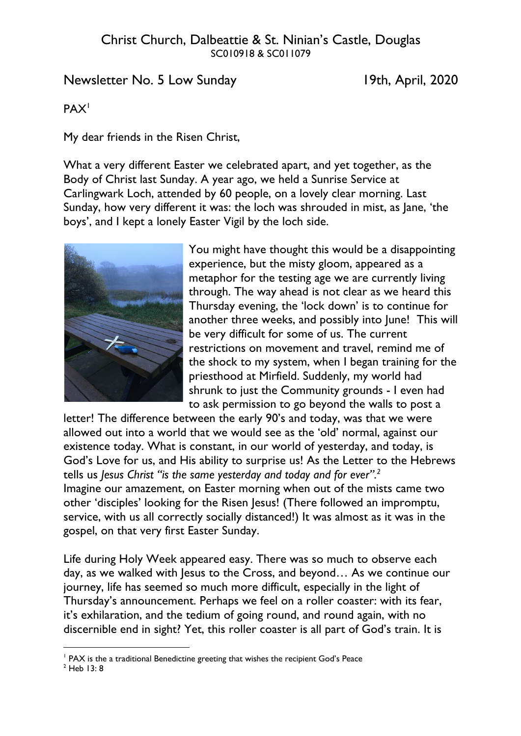# Newsletter No. 5 Low Sunday 19th, April, 2020

### PAX<sup>1</sup>

My dear friends in the Risen Christ,

What a very different Easter we celebrated apart, and yet together, as the Body of Christ last Sunday. A year ago, we held a Sunrise Service at Carlingwark Loch, attended by 60 people, on a lovely clear morning. Last Sunday, how very different it was: the loch was shrouded in mist, as Jane, 'the boys', and I kept a lonely Easter Vigil by the loch side.



You might have thought this would be a disappointing experience, but the misty gloom, appeared as a metaphor for the testing age we are currently living through. The way ahead is not clear as we heard this Thursday evening, the 'lock down' is to continue for another three weeks, and possibly into June! This will be very difficult for some of us. The current restrictions on movement and travel, remind me of the shock to my system, when I began training for the priesthood at Mirfield. Suddenly, my world had shrunk to just the Community grounds - I even had to ask permission to go beyond the walls to post a

letter! The difference between the early 90's and today, was that we were allowed out into a world that we would see as the 'old' normal, against our existence today. What is constant, in our world of yesterday, and today, is God's Love for us, and His ability to surprise us! As the Letter to the Hebrews tells us *Jesus Christ "is the same yesterday and today and for ever".2* Imagine our amazement, on Easter morning when out of the mists came two other 'disciples' looking for the Risen Jesus! (There followed an impromptu, service, with us all correctly socially distanced!) It was almost as it was in the gospel, on that very first Easter Sunday.

Life during Holy Week appeared easy. There was so much to observe each day, as we walked with Jesus to the Cross, and beyond... As we continue our journey, life has seemed so much more difficult, especially in the light of Thursday's announcement. Perhaps we feel on a roller coaster: with its fear, it's exhilaration, and the tedium of going round, and round again, with no discernible end in sight? Yet, this roller coaster is all part of God's train. It is

<sup>&</sup>lt;sup>1</sup> PAX is the a traditional Benedictine greeting that wishes the recipient God's Peace

 $2$  Heb 13: 8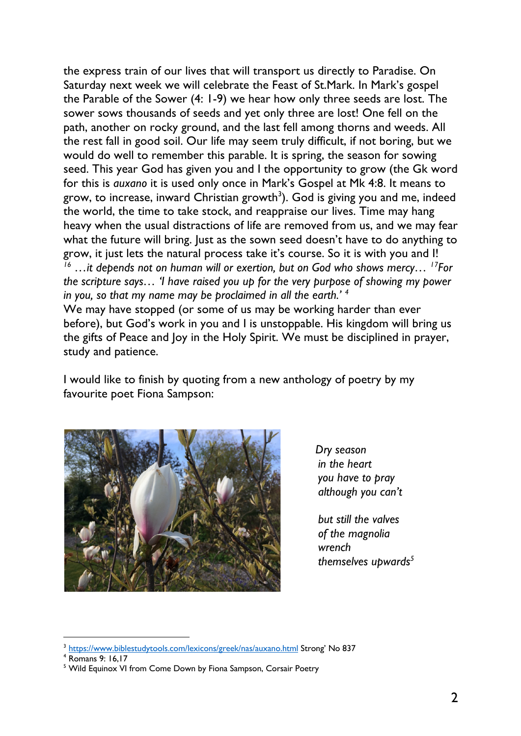the express train of our lives that will transport us directly to Paradise. On Saturday next week we will celebrate the Feast of St.Mark. In Mark's gospel the Parable of the Sower (4: 1-9) we hear how only three seeds are lost. The sower sows thousands of seeds and yet only three are lost! One fell on the path, another on rocky ground, and the last fell among thorns and weeds. All the rest fall in good soil. Our life may seem truly difficult, if not boring, but we would do well to remember this parable. It is spring, the season for sowing seed. This year God has given you and I the opportunity to grow (the Gk word for this is *auxano* it is used only once in Mark's Gospel at Mk 4:8. It means to grow, to increase, inward Christian growth $3$ ). God is giving you and me, indeed the world, the time to take stock, and reappraise our lives. Time may hang heavy when the usual distractions of life are removed from us, and we may fear what the future will bring. Just as the sown seed doesn't have to do anything to grow, it just lets the natural process take it's course. So it is with you and I! *<sup>16</sup> …it depends not on human will or exertion, but on God who shows mercy… 17For the scripture says… 'I have raised you up for the very purpose of showing my power in you, so that my name may be proclaimed in all the earth.' <sup>4</sup>* We may have stopped (or some of us may be working harder than ever before), but God's work in you and I is unstoppable. His kingdom will bring us the gifts of Peace and Joy in the Holy Spirit. We must be disciplined in prayer, study and patience.

I would like to finish by quoting from a new anthology of poetry by my favourite poet Fiona Sampson:



*Dry season in the heart you have to pray although you can't*

*but still the valves of the magnolia wrench themselves upwards5*

<sup>&</sup>lt;sup>3</sup> https://www.biblestudytools.com/lexicons/greek/nas/auxano.html Strong' No 837

<sup>4</sup> Romans 9: 16,17

<sup>&</sup>lt;sup>5</sup> Wild Equinox VI from Come Down by Fiona Sampson, Corsair Poetry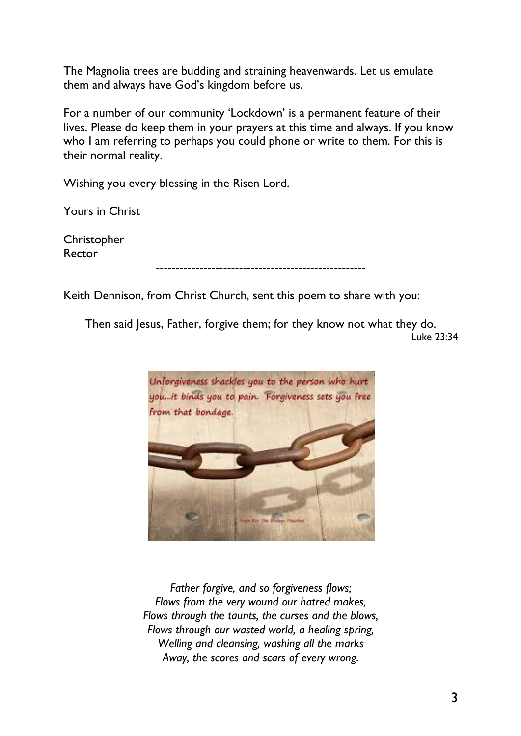The Magnolia trees are budding and straining heavenwards. Let us emulate them and always have God's kingdom before us.

For a number of our community 'Lockdown' is a permanent feature of their lives. Please do keep them in your prayers at this time and always. If you know who I am referring to perhaps you could phone or write to them. For this is their normal reality.

Wishing you every blessing in the Risen Lord.

Yours in Christ

Christopher Rector

-----------------------------------------------------

Keith Dennison, from Christ Church, sent this poem to share with you:

Then said Jesus, Father, forgive them; for they know not what they do. Luke 23:34



*Father forgive, and so forgiveness flows; Flows from the very wound our hatred makes, Flows through the taunts, the curses and the blows, Flows through our wasted world, a healing spring, Welling and cleansing, washing all the marks Away, the scores and scars of every wrong.*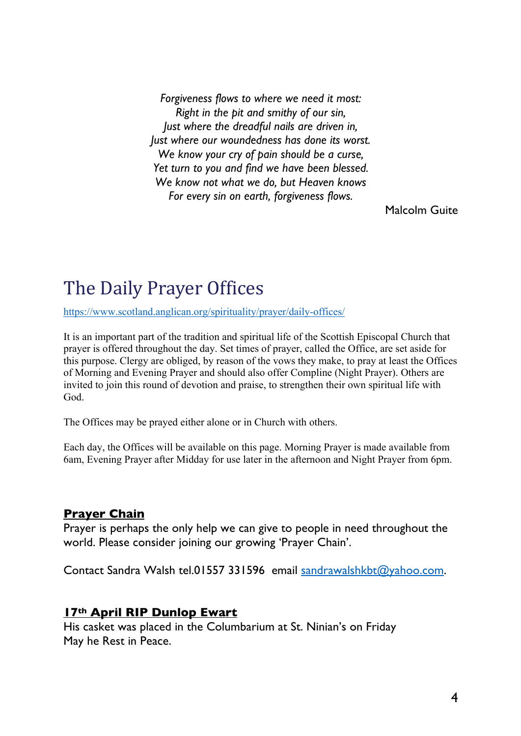*Forgiveness flows to where we need it most: Right in the pit and smithy of our sin, Just where the dreadful nails are driven in, Just where our woundedness has done its worst. We know your cry of pain should be a curse, Yet turn to you and find we have been blessed. We know not what we do, but Heaven knows For every sin on earth, forgiveness flows.*

Malcolm Guite

# The Daily Prayer Offices

https://www.scotland.anglican.org/spirituality/prayer/daily-offices/

It is an important part of the tradition and spiritual life of the Scottish Episcopal Church that prayer is offered throughout the day. Set times of prayer, called the Office, are set aside for this purpose. Clergy are obliged, by reason of the vows they make, to pray at least the Offices of Morning and Evening Prayer and should also offer Compline (Night Prayer). Others are invited to join this round of devotion and praise, to strengthen their own spiritual life with God.

The Offices may be prayed either alone or in Church with others.

Each day, the Offices will be available on this page. Morning Prayer is made available from 6am, Evening Prayer after Midday for use later in the afternoon and Night Prayer from 6pm.

#### **Prayer Chain**

Prayer is perhaps the only help we can give to people in need throughout the world. Please consider joining our growing 'Prayer Chain'.

Contact Sandra Walsh tel.01557 331596 email sandrawalshkbt@yahoo.com.

#### **17th April RIP Dunlop Ewart**

His casket was placed in the Columbarium at St. Ninian's on Friday May he Rest in Peace.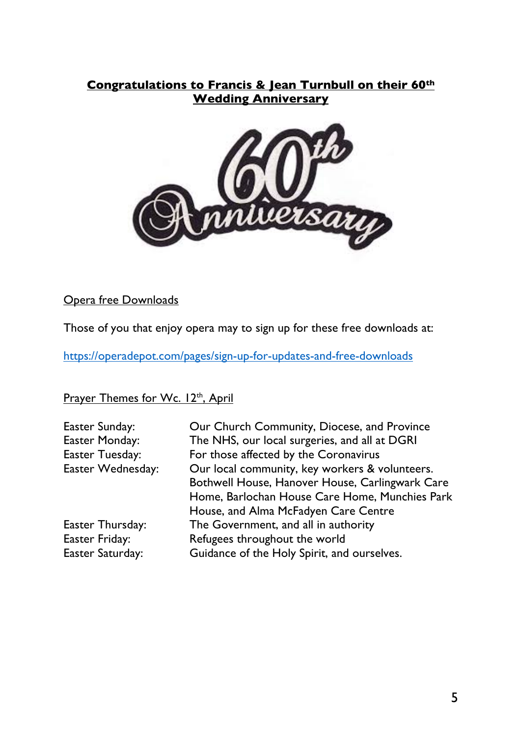## **Congratulations to Francis & Jean Turnbull on their 60th Wedding Anniversary**



Opera free Downloads

Those of you that enjoy opera may to sign up for these free downloads at:

https://operadepot.com/pages/sign-up-for-updates-and-free-downloads

Prayer Themes for Wc. 12<sup>th</sup>, April

| Our Church Community, Diocese, and Province     |
|-------------------------------------------------|
| The NHS, our local surgeries, and all at DGRI   |
| For those affected by the Coronavirus           |
| Our local community, key workers & volunteers.  |
| Bothwell House, Hanover House, Carlingwark Care |
| Home, Barlochan House Care Home, Munchies Park  |
| House, and Alma McFadyen Care Centre            |
| The Government, and all in authority            |
| Refugees throughout the world                   |
| Guidance of the Holy Spirit, and ourselves.     |
|                                                 |